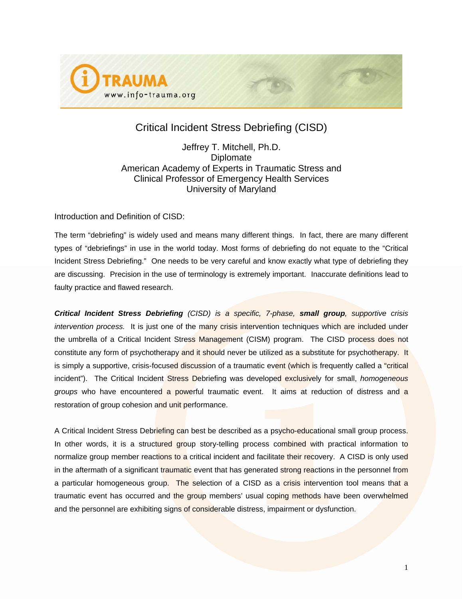

# Critical Incident Stress Debriefing (CISD)

Jeffrey T. Mitchell, Ph.D. **Diplomate** American Academy of Experts in Traumatic Stress and Clinical Professor of Emergency Health Services University of Maryland

Introduction and Definition of CISD:

The term "debriefing" is widely used and means many different things. In fact, there are many different types of "debriefings" in use in the world today. Most forms of debriefing do not equate to the "Critical Incident Stress Debriefing." One needs to be very careful and know exactly what type of debriefing they are discussing. Precision in the use of terminology is extremely important. Inaccurate definitions lead to faulty practice and flawed research.

*Critical Incident Stress Debriefing (CISD) is a specific, 7-phase, small group, supportive crisis intervention process.* It is just one of the many crisis intervention techniques which are included under the umbrella of a Critical Incident Stress Management (CISM) program. The CISD process does not constitute any form of psychotherapy and it should never be utilized as a substitute for psychotherapy. It is simply a supportive, crisis-focused discussion of a traumatic event (which is frequently called a "critical incident"). The Critical Incident Stress Debriefing was developed exclusively for small, *homogeneous groups* who have encountered a powerful traumatic event. It aims at reduction of distress and a restoration of group cohesion and unit performance.

A Critical Incident Stress Debriefing can best be described as a psycho-educational small group process. In other words, it is a structured group story-telling process combined with practical information to normalize group member reactions to a critical incident and facilitate their recovery. A CISD is only used in the aftermath of a significant traumatic event that has generated strong reactions in the personnel from a particular homogeneous group. The selection of a CISD as a crisis intervention tool means that a traumatic event has occurred and the group members' usual coping methods have been overwhelmed and the personnel are exhibiting signs of considerable distress, impairment or dysfunction.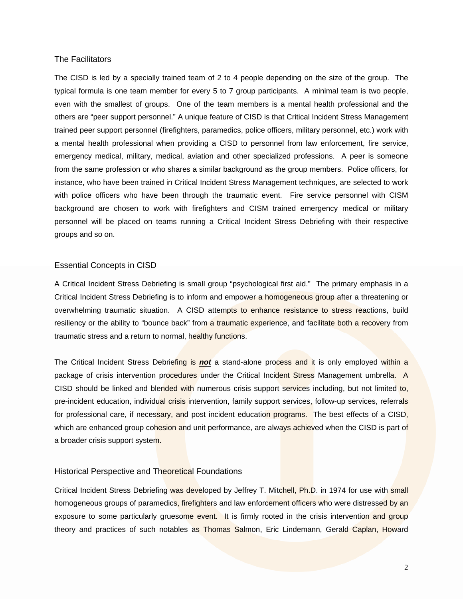## The Facilitators

The CISD is led by a specially trained team of 2 to 4 people depending on the size of the group. The typical formula is one team member for every 5 to 7 group participants. A minimal team is two people, even with the smallest of groups. One of the team members is a mental health professional and the others are "peer support personnel." A unique feature of CISD is that Critical Incident Stress Management trained peer support personnel (firefighters, paramedics, police officers, military personnel, etc.) work with a mental health professional when providing a CISD to personnel from law enforcement, fire service, emergency medical, military, medical, aviation and other specialized professions. A peer is someone from the same profession or who shares a similar background as the group members. Police officers, for instance, who have been trained in Critical Incident Stress Management techniques, are selected to work with police officers who have been through the traumatic event. Fire service personnel with CISM background are chosen to work with firefighters and CISM trained emergency medical or military personnel will be placed on teams running a Critical Incident Stress Debriefing with their respective groups and so on.

### Essential Concepts in CISD

A Critical Incident Stress Debriefing is small group "psychological first aid." The primary emphasis in a Critical Incident Stress Debriefing is to inform and empower a homogeneous group after a threatening or overwhelming traumatic situation. A CISD attempts to enhance resistance to stress reactions, build resiliency or the ability to "bounce back" from a traumatic experience, and facilitate both a recovery from traumatic stress and a return to normal, healthy functions.

The Critical Incident Stress Debriefing is *not* a stand-alone process and it is only employed within a package of crisis intervention procedures under the Critical Incident Stress Management umbrella. A CISD should be linked and blended with numerous crisis support services including, but not limited to, pre-incident education, individual crisis intervention, family support services, follow-up services, referrals for professional care, if necessary, and post incident education programs. The best effects of a CISD, which are enhanced group cohesion and unit performance, are always achieved when the CISD is part of a broader crisis support system.

# Historical Perspective and Theoretical Foundations

Critical Incident Stress Debriefing was developed by Jeffrey T. Mitchell, Ph.D. in 1974 for use with small homogeneous groups of paramedics, firefighters and law enforcement officers who were distressed by an exposure to some particularly gruesome event. It is firmly rooted in the crisis intervention and group theory and practices of such notables as Thomas Salmon, Eric Lindemann, Gerald Caplan, Howard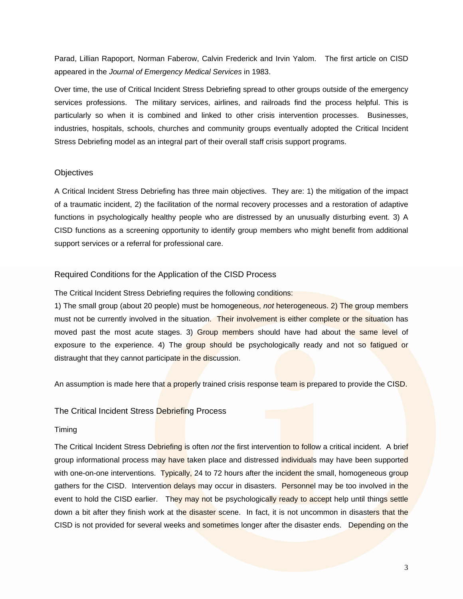Parad, Lillian Rapoport, Norman Faberow, Calvin Frederick and Irvin Yalom. The first article on CISD appeared in the *Journal of Emergency Medical Services* in 1983.

Over time, the use of Critical Incident Stress Debriefing spread to other groups outside of the emergency services professions. The military services, airlines, and railroads find the process helpful. This is particularly so when it is combined and linked to other crisis intervention processes. Businesses, industries, hospitals, schools, churches and community groups eventually adopted the Critical Incident Stress Debriefing model as an integral part of their overall staff crisis support programs.

# **Objectives**

A Critical Incident Stress Debriefing has three main objectives. They are: 1) the mitigation of the impact of a traumatic incident, 2) the facilitation of the normal recovery processes and a restoration of adaptive functions in psychologically healthy people who are distressed by an unusually disturbing event. 3) A CISD functions as a screening opportunity to identify group members who might benefit from additional support services or a referral for professional care.

# Required Conditions for the Application of the CISD Process

The Critical Incident Stress Debriefing requires the following conditions:

1) The small group (about 20 people) must be homogeneous, *not* heterogeneous. 2) The group members must not be currently involved in the situation. Their involvement is either complete or the situation has moved past the most acute stages. 3) Group members should have had about the same level of exposure to the experience. 4) The group should be psychologically ready and not so fatigued or distraught that they cannot participate in the discussion.

An assumption is made here that a properly trained crisis response team is prepared to provide the CISD.

# The Critical Incident Stress Debriefing Process

### Timing

The Critical Incident Stress Debriefing is often *not* the first intervention to follow a critical incident. A brief group informational process may have taken place and distressed individuals may have been supported with one-on-one interventions. Typically, 24 to 72 hours after the incident the small, homogeneous group gathers for the CISD. Intervention delays may occur in disasters. Personnel may be too involved in the event to hold the CISD earlier. They may not be psychologically ready to accept help until things settle down a bit after they finish work at the disaster scene. In fact, it is not uncommon in disasters that the CISD is not provided for several weeks and sometimes longer after the disaster ends. Depending on the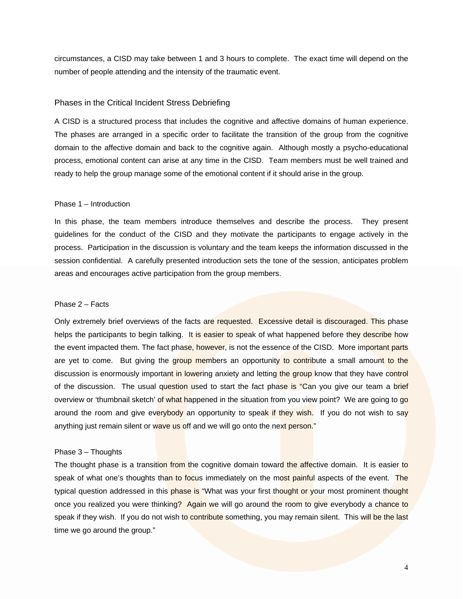circumstances, a CISD may take between 1 and 3 hours to complete. The exact time will depend on the number of people attending and the intensity of the traumatic event.

## Phases in the Critical Incident Stress Debriefing

A CISD is a structured process that includes the cognitive and affective domains of human experience. The phases are arranged in a specific order to facilitate the transition of the group from the cognitive domain to the affective domain and back to the cognitive again. Although mostly a psycho-educational process, emotional content can arise at any time in the CISD. Team members must be well trained and ready to help the group manage some of the emotional content if it should arise in the group.

#### Phase 1 – Introduction

In this phase, the team members introduce themselves and describe the process. They present guidelines for the conduct of the CISD and they motivate the participants to engage actively in the process. Participation in the discussion is voluntary and the team keeps the information discussed in the session confidential. A carefully presented introduction sets the tone of the session, anticipates problem areas and encourages active participation from the group members.

### Phase 2 – Facts

Only extremely brief overviews of the facts are requested. Excessive detail is discouraged. This phase helps the participants to begin talking. It is easier to speak of what happened before they describe how the event impacted them. The fact phase, however, is not the essence of the CISD. More important parts are yet to come. But giving the group members an opportunity to contribute a small amount to the discussion is enormously important in lowering anxiety and letting the group know that they have control of the discussion. The usual question used to start the fact phase is "Can you give our team a brief overview or 'thumbnail sketch' of what happened in the situation from you view point? We are going to go around the room and give everybody an opportunity to speak if they wish. If you do not wish to say anything just remain silent or wave us off and we will go onto the next person."

### Phase 3 – Thoughts

The thought phase is a transition from the cognitive domain toward the affective domain. It is easier to speak of what one's thoughts than to focus immediately on the most painful aspects of the event. The typical question addressed in this phase is "What was your first thought or your most prominent thought once you realized you were thinking? Again we will go around the room to give everybody a chance to speak if they wish. If you do not wish to contribute something, you may remain silent. This will be the last time we go around the group."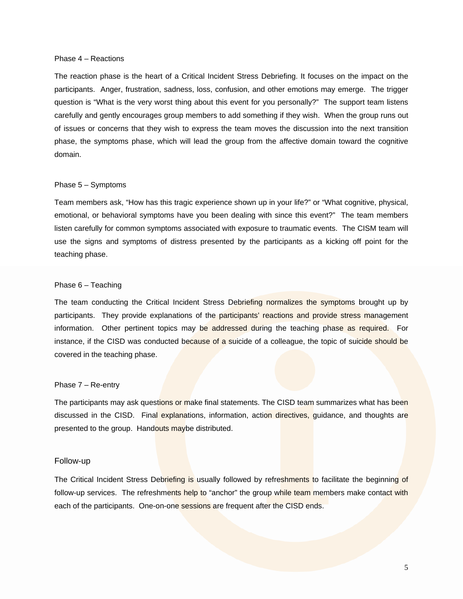#### Phase 4 – Reactions

The reaction phase is the heart of a Critical Incident Stress Debriefing. It focuses on the impact on the participants. Anger, frustration, sadness, loss, confusion, and other emotions may emerge. The trigger question is "What is the very worst thing about this event for you personally?" The support team listens carefully and gently encourages group members to add something if they wish. When the group runs out of issues or concerns that they wish to express the team moves the discussion into the next transition phase, the symptoms phase, which will lead the group from the affective domain toward the cognitive domain.

#### Phase 5 – Symptoms

Team members ask, "How has this tragic experience shown up in your life?" or "What cognitive, physical, emotional, or behavioral symptoms have you been dealing with since this event?" The team members listen carefully for common symptoms associated with exposure to traumatic events. The CISM team will use the signs and symptoms of distress presented by the participants as a kicking off point for the teaching phase.

#### Phase 6 – Teaching

The team conducting the Critical Incident Stress Debriefing normalizes the symptoms brought up by participants. They provide explanations of the participants' reactions and provide stress management information. Other pertinent topics may be addressed during the teaching phase as required. For instance, if the CISD was conducted because of a suicide of a colleague, the topic of suicide should be covered in the teaching phase.

#### Phase 7 – Re-entry

The participants may ask questions or make final statements. The CISD team summarizes what has been discussed in the CISD. Final explanations, information, action directives, guidance, and thoughts are presented to the group. Handouts maybe distributed.

#### Follow-up

The Critical Incident Stress Debriefing is usually followed by refreshments to facilitate the beginning of follow-up services. The refreshments help to "anchor" the group while team members make contact with each of the participants. One-on-one sessions are frequent after the CISD ends.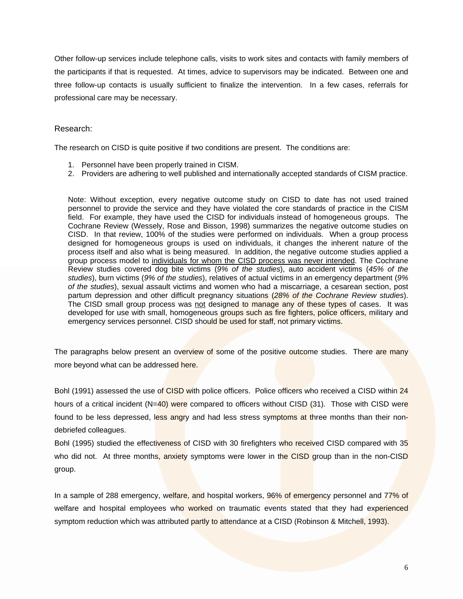Other follow-up services include telephone calls, visits to work sites and contacts with family members of the participants if that is requested. At times, advice to supervisors may be indicated. Between one and three follow-up contacts is usually sufficient to finalize the intervention. In a few cases, referrals for professional care may be necessary.

# Research:

The research on CISD is quite positive if two conditions are present. The conditions are:

- 1. Personnel have been properly trained in CISM.
- 2. Providers are adhering to well published and internationally accepted standards of CISM practice.

Note: Without exception, every negative outcome study on CISD to date has not used trained personnel to provide the service and they have violated the core standards of practice in the CISM field. For example, they have used the CISD for individuals instead of homogeneous groups. The Cochrane Review (Wessely, Rose and Bisson, 1998) summarizes the negative outcome studies on CISD. In that review, 100% of the studies were performed on individuals. When a group process designed for homogeneous groups is used on individuals, it changes the inherent nature of the process itself and also what is being measured. In addition, the negative outcome studies applied a group process model to individuals for whom the CISD process was never intended. The Cochrane Review studies covered dog bite victims (*9% of the studies*), auto accident victims (*45% of the studies*), burn victims (*9% of the studies*), relatives of actual victims in an emergency department (*9% of the studies*), sexual assault victims and women who had a miscarriage, a cesarean section, post partum depression and other difficult pregnancy situations (*28% of the Cochrane Review studies*). The CISD small group process was not designed to manage any of these types of cases. It was developed for use with small, homogeneous groups such as fire fighters, police officers, military and emergency services personnel. CISD should be used for staff, not primary victims.

The paragraphs below present an overview of some of the positive outcome studies. There are many more beyond what can be addressed here.

Bohl (1991) assessed the use of CISD with police officers. Police officers who received a CISD within 24 hours of a critical incident  $(N=40)$  were compared to officers without CISD  $(31)$ . Those with CISD were found to be less depressed, less angry and had less stress symptoms at three months than their nondebriefed colleagues.

Bohl (1995) studied the effectiveness of CISD with 30 firefighters who received CISD compared with 35 who did not. At three months, anxiety symptoms were lower in the CISD group than in the non-CISD group.

In a sample of 288 emergency, welfare, and hospital workers, 96% of emergency personnel and 77% of welfare and hospital employees who worked on traumatic events stated that they had experienced symptom reduction which was attributed partly to attendance at a CISD (Robinson & Mitchell, 1993).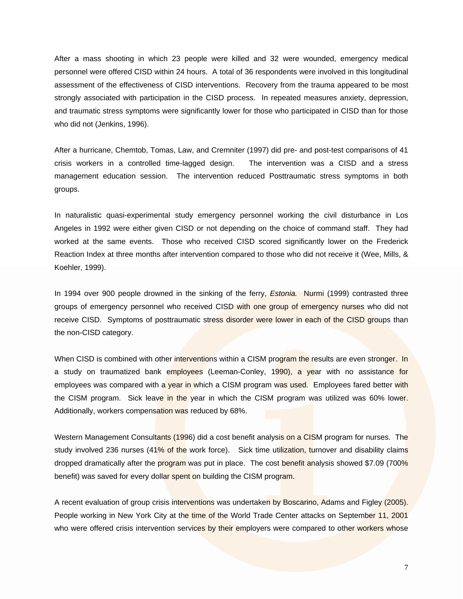After a mass shooting in which 23 people were killed and 32 were wounded, emergency medical personnel were offered CISD within 24 hours. A total of 36 respondents were involved in this longitudinal assessment of the effectiveness of CISD interventions. Recovery from the trauma appeared to be most strongly associated with participation in the CISD process. In repeated measures anxiety, depression, and traumatic stress symptoms were significantly lower for those who participated in CISD than for those who did not (Jenkins, 1996).

After a hurricane, Chemtob, Tomas, Law, and Cremniter (1997) did pre- and post-test comparisons of 41 crisis workers in a controlled time-lagged design. The intervention was a CISD and a stress management education session. The intervention reduced Posttraumatic stress symptoms in both groups.

In naturalistic quasi-experimental study emergency personnel working the civil disturbance in Los Angeles in 1992 were either given CISD or not depending on the choice of command staff. They had worked at the same events. Those who received CISD scored significantly lower on the Frederick Reaction Index at three months after intervention compared to those who did not receive it (Wee, Mills, & Koehler, 1999).

In 1994 over 900 people drowned in the sinking of the ferry, *Estonia.* Nurmi (1999) contrasted three groups of emergency personnel who received CISD with one group of emergency nurses who did not receive CISD. Symptoms of posttraumatic stress disorder were lower in each of the CISD groups than the non-CISD category.

When CISD is combined with other interventions within a CISM program the results are even stronger. In a study on traumatized bank employees (Leeman-Conley, 1990), a year with no assistance for employees was compared with a year in which a CISM program was used. Employees fared better with the CISM program. Sick leave in the year in which the CISM program was utilized was 60% lower. Additionally, workers compensation was reduced by 68%.

Western Management Consultants (1996) did a cost benefit analysis on a CISM program for nurses. The study involved 236 nurses (41% of the work force). Sick time utilization, turnover and disability claims dropped dramatically after the program was put in place. The cost benefit analysis showed \$7.09 (700% benefit) was saved for every dollar spent on building the CISM program.

A recent evaluation of group crisis interventions was undertaken by Boscarino, Adams and Figley (2005). People working in New York City at the time of the World Trade Center attacks on September 11, 2001 who were offered crisis intervention services by their employers were compared to other workers whose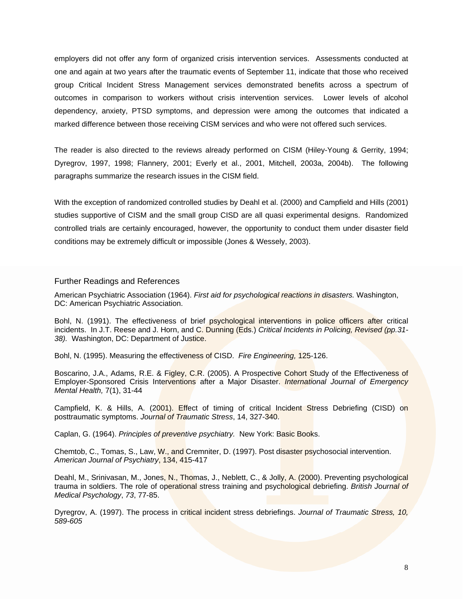employers did not offer any form of organized crisis intervention services. Assessments conducted at one and again at two years after the traumatic events of September 11, indicate that those who received group Critical Incident Stress Management services demonstrated benefits across a spectrum of outcomes in comparison to workers without crisis intervention services. Lower levels of alcohol dependency, anxiety, PTSD symptoms, and depression were among the outcomes that indicated a marked difference between those receiving CISM services and who were not offered such services.

The reader is also directed to the reviews already performed on CISM (Hiley-Young & Gerrity, 1994; Dyregrov, 1997, 1998; Flannery, 2001; Everly et al., 2001, Mitchell, 2003a, 2004b). The following paragraphs summarize the research issues in the CISM field.

With the exception of randomized controlled studies by Deahl et al. (2000) and Campfield and Hills (2001) studies supportive of CISM and the small group CISD are all quasi experimental designs. Randomized controlled trials are certainly encouraged, however, the opportunity to conduct them under disaster field conditions may be extremely difficult or impossible (Jones & Wessely, 2003).

# Further Readings and References

American Psychiatric Association (1964). *First aid for psychological reactions in disasters.* Washington, DC: American Psychiatric Association.

Bohl, N. (1991). The effectiveness of brief psychological interventions in police officers after critical incidents. In J.T. Reese and J. Horn, and C. Dunning (Eds.) *Critical Incidents in Policing, Revised (pp.31-* 38). Washington, DC: Department of Justice.

Bohl, N. (1995). Measuring the effectiveness of CISD. *Fire Engineering,* 125-126.

Boscarino, J.A., Adams, R.E. & Figley, C.R. (2005). A Prospective Cohort Study of the Effectiveness of Employer-Sponsored Crisis Interventions after a Major Disaster. *International Journal of Emergency Mental Health,* 7(1), 31-44

Campfield, K. & Hills, A. (2001). Effect of timing of critical Incident Stress Debriefing (CISD) on posttraumatic symptoms. *Journal of Traumatic Stress*, 14, 327-340.

Caplan, G. (1964). *Principles of preventive psychiatry.* New York: Basic Books.

Chemtob, C., Tomas, S., Law, W., and Cremniter, D. (1997). Post disaster psychosocial intervention. *American Journal of Psychiatry*, 134, 415-417

Deahl, M., Srinivasan, M., Jones, N., Thomas, J., Neblett, C., & Jolly, A. (2000). Preventing psychological trauma in soldiers. The role of operational stress training and psychological debriefing. *British Journal of Medical Psychology*, *73*, 77-85.

Dyregrov, A. (1997). The process in critical incident stress debriefings. *Journal of Traumatic Stress, 10, 589-605*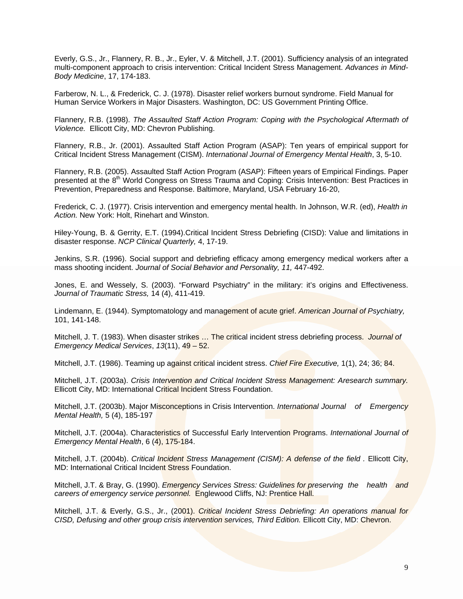Everly, G.S., Jr., Flannery, R. B., Jr., Eyler, V. & Mitchell, J.T. (2001). Sufficiency analysis of an integrated multi-component approach to crisis intervention: Critical Incident Stress Management. *Advances in Mind-Body Medicine*, 17, 174-183.

Farberow, N. L., & Frederick, C. J. (1978). Disaster relief workers burnout syndrome. Field Manual for Human Service Workers in Major Disasters. Washington, DC: US Government Printing Office.

Flannery, R.B. (1998). *The Assaulted Staff Action Program: Coping with the Psychological Aftermath of Violence.* Ellicott City, MD: Chevron Publishing.

Flannery, R.B., Jr. (2001). Assaulted Staff Action Program (ASAP): Ten years of empirical support for Critical Incident Stress Management (CISM). *International Journal of Emergency Mental Health*, 3, 5-10.

Flannery, R.B. (2005). Assaulted Staff Action Program (ASAP): Fifteen years of Empirical Findings. Paper presented at the 8<sup>th</sup> World Congress on Stress Trauma and Coping: Crisis Intervention: Best Practices in Prevention, Preparedness and Response. Baltimore, Maryland, USA February 16-20,

Frederick, C. J. (1977). Crisis intervention and emergency mental health. In Johnson, W.R. (ed), *Health in Action.* New York: Holt, Rinehart and Winston.

Hiley-Young, B. & Gerrity, E.T. (1994).Critical Incident Stress Debriefing (CISD): Value and limitations in disaster response. *NCP Clinical Quarterly,* 4, 17-19.

Jenkins, S.R. (1996). Social support and debriefing efficacy among emergency medical workers after a mass shooting incident. *Journal of Social Behavior and Personality, 11,* 447-492.

Jones, E. and Wessely, S. (2003). "Forward Psychiatry" in the military: it's origins and Effectiveness. *Journal of Traumatic Stress,* 14 (4), 411-419.

Lindemann, E. (1944). Symptomatology and management of acute grief. *American Journal of Psychiatry,*  101, 141-148.

Mitchell, J. T. (1983). When disaster strikes … The critical incident stress debriefing process. *Journal of Emergency Medical Services*, *13*(11), 49 – 52.

Mitchell, J.T. (1986). Teaming up against critical incident stress. *Chief Fire Executive,* 1(1), 24; 36; 84.

Mitchell, J.T. (2003a). *Crisis Intervention and Critical Incident Stress Management: Aresearch summary.*  Ellicott City, MD: International Critical Incident Stress Foundation.

Mitchell, J.T. (2003b). Major Misconceptions in Crisis Intervention. *International Journal of Emergency Mental Health,* 5 (4), 185-197

Mitchell, J.T. (2004a). Characteristics of Successful Early Intervention Programs. *International Journal of Emergency Mental Health*, 6 (4), 175-184.

Mitchell, J.T. (2004b). *Critical Incident Stress Management (CISM): A defense of the field .* Ellicott City, MD: International Critical Incident Stress Foundation.

Mitchell, J.T. & Bray, G. (1990). *Emergency Services Stress: Guidelines for preserving the health and careers of emergency service personnel.* Englewood Cliffs, NJ: Prentice Hall.

Mitchell, J.T. & Everly, G.S., Jr., (2001). *Critical Incident Stress Debriefing: An operations manual for CISD, Defusing and other group crisis intervention services, Third Edition.* Ellicott City, MD: Chevron.